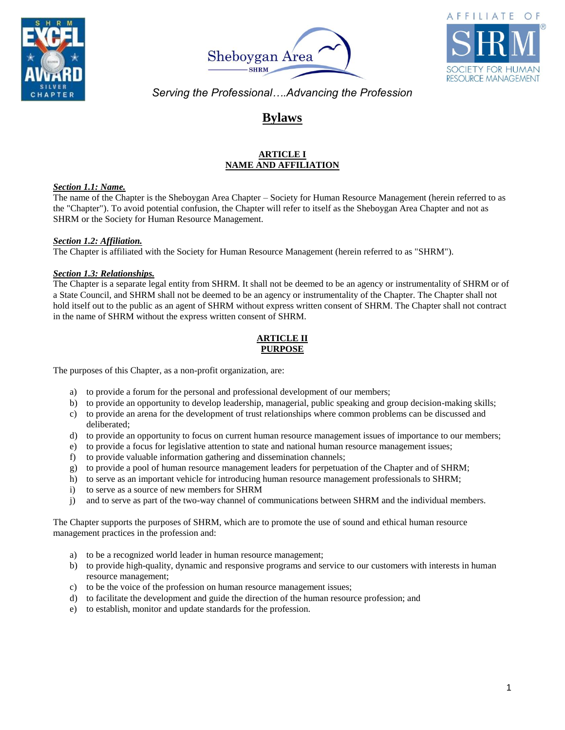





# **Bylaws**

# **ARTICLE I NAME AND AFFILIATION**

# *Section 1.1: Name.*

The name of the Chapter is the Sheboygan Area Chapter – Society for Human Resource Management (herein referred to as the "Chapter"). To avoid potential confusion, the Chapter will refer to itself as the Sheboygan Area Chapter and not as SHRM or the Society for Human Resource Management.

### *Section 1.2: Affiliation.*

The Chapter is affiliated with the Society for Human Resource Management (herein referred to as "SHRM").

# *Section 1.3: Relationships.*

The Chapter is a separate legal entity from SHRM. It shall not be deemed to be an agency or instrumentality of SHRM or of a State Council, and SHRM shall not be deemed to be an agency or instrumentality of the Chapter. The Chapter shall not hold itself out to the public as an agent of SHRM without express written consent of SHRM. The Chapter shall not contract in the name of SHRM without the express written consent of SHRM.

# **ARTICLE II PURPOSE**

The purposes of this Chapter, as a non-profit organization, are:

- a) to provide a forum for the personal and professional development of our members;
- b) to provide an opportunity to develop leadership, managerial, public speaking and group decision-making skills;
- c) to provide an arena for the development of trust relationships where common problems can be discussed and deliberated;
- d) to provide an opportunity to focus on current human resource management issues of importance to our members;
- e) to provide a focus for legislative attention to state and national human resource management issues;
- f) to provide valuable information gathering and dissemination channels;
- g) to provide a pool of human resource management leaders for perpetuation of the Chapter and of SHRM;
- h) to serve as an important vehicle for introducing human resource management professionals to SHRM;
- i) to serve as a source of new members for SHRM
- j) and to serve as part of the two-way channel of communications between SHRM and the individual members.

The Chapter supports the purposes of SHRM, which are to promote the use of sound and ethical human resource management practices in the profession and:

- a) to be a recognized world leader in human resource management;
- b) to provide high-quality, dynamic and responsive programs and service to our customers with interests in human resource management;
- c) to be the voice of the profession on human resource management issues;
- d) to facilitate the development and guide the direction of the human resource profession; and
- e) to establish, monitor and update standards for the profession.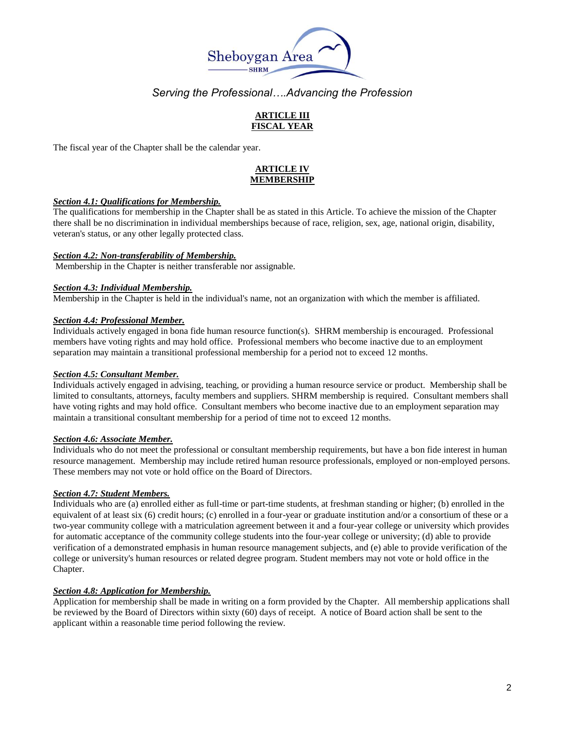

# **ARTICLE III FISCAL YEAR**

The fiscal year of the Chapter shall be the calendar year.

# **ARTICLE IV MEMBERSHIP**

#### *Section 4.1: Qualifications for Membership.*

The qualifications for membership in the Chapter shall be as stated in this Article. To achieve the mission of the Chapter there shall be no discrimination in individual memberships because of race, religion, sex, age, national origin, disability, veteran's status, or any other legally protected class.

#### *Section 4.2: Non-transferability of Membership.*

Membership in the Chapter is neither transferable nor assignable.

#### *Section 4.3: Individual Membership.*

Membership in the Chapter is held in the individual's name, not an organization with which the member is affiliated.

#### *Section 4.4: Professional Member.*

Individuals actively engaged in bona fide human resource function(s). SHRM membership is encouraged. Professional members have voting rights and may hold office. Professional members who become inactive due to an employment separation may maintain a transitional professional membership for a period not to exceed 12 months.

### *Section 4.5: Consultant Member.*

Individuals actively engaged in advising, teaching, or providing a human resource service or product. Membership shall be limited to consultants, attorneys, faculty members and suppliers. SHRM membership is required. Consultant members shall have voting rights and may hold office. Consultant members who become inactive due to an employment separation may maintain a transitional consultant membership for a period of time not to exceed 12 months.

#### *Section 4.6: Associate Member.*

Individuals who do not meet the professional or consultant membership requirements, but have a bon fide interest in human resource management. Membership may include retired human resource professionals, employed or non-employed persons. These members may not vote or hold office on the Board of Directors.

#### *Section 4.7: Student Members.*

Individuals who are (a) enrolled either as full-time or part-time students, at freshman standing or higher; (b) enrolled in the equivalent of at least six (6) credit hours; (c) enrolled in a four-year or graduate institution and/or a consortium of these or a two-year community college with a matriculation agreement between it and a four-year college or university which provides for automatic acceptance of the community college students into the four-year college or university; (d) able to provide verification of a demonstrated emphasis in human resource management subjects, and (e) able to provide verification of the college or university's human resources or related degree program. Student members may not vote or hold office in the Chapter.

## *Section 4.8: Application for Membership.*

Application for membership shall be made in writing on a form provided by the Chapter. All membership applications shall be reviewed by the Board of Directors within sixty (60) days of receipt. A notice of Board action shall be sent to the applicant within a reasonable time period following the review.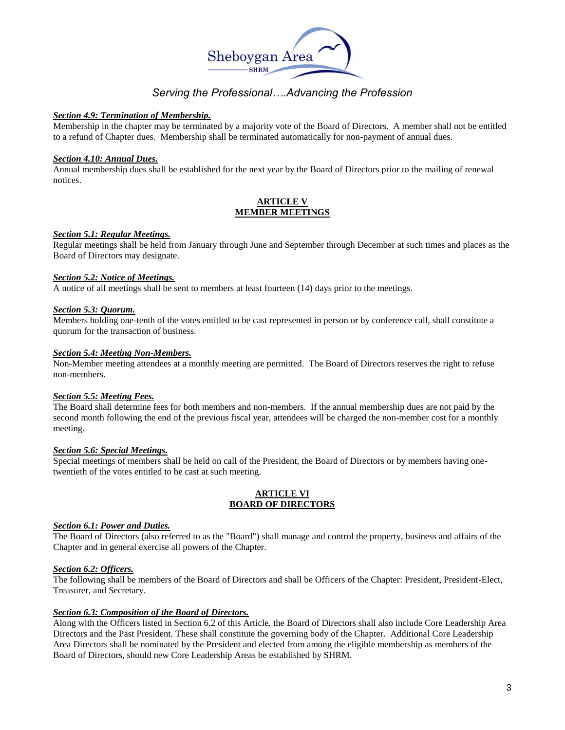

### *Section 4.9: Termination of Membership.*

Membership in the chapter may be terminated by a majority vote of the Board of Directors. A member shall not be entitled to a refund of Chapter dues. Membership shall be terminated automatically for non-payment of annual dues.

## *Section 4.10: Annual Dues.*

Annual membership dues shall be established for the next year by the Board of Directors prior to the mailing of renewal notices.

# **ARTICLE V MEMBER MEETINGS**

### *Section 5.1: Regular Meetings.*

Regular meetings shall be held from January through June and September through December at such times and places as the Board of Directors may designate.

#### *Section 5.2: Notice of Meetings.*

A notice of all meetings shall be sent to members at least fourteen (14) days prior to the meetings.

#### *Section 5.3: Quorum.*

Members holding one-tenth of the votes entitled to be cast represented in person or by conference call, shall constitute a quorum for the transaction of business.

# *Section 5.4: Meeting Non-Members.*

Non-Member meeting attendees at a monthly meeting are permitted. The Board of Directors reserves the right to refuse non-members.

### *Section 5.5: Meeting Fees.*

The Board shall determine fees for both members and non-members. If the annual membership dues are not paid by the second month following the end of the previous fiscal year, attendees will be charged the non-member cost for a monthly meeting.

### *Section 5.6: Special Meetings.*

Special meetings of members shall be held on call of the President, the Board of Directors or by members having onetwentieth of the votes entitled to be cast at such meeting.

### **ARTICLE VI BOARD OF DIRECTORS**

## *Section 6.1: Power and Duties.*

The Board of Directors (also referred to as the "Board") shall manage and control the property, business and affairs of the Chapter and in general exercise all powers of the Chapter.

## *Section 6.2: Officers.*

The following shall be members of the Board of Directors and shall be Officers of the Chapter: President, President-Elect, Treasurer, and Secretary.

### *Section 6.3: Composition of the Board of Directors.*

Along with the Officers listed in Section 6.2 of this Article, the Board of Directors shall also include Core Leadership Area Directors and the Past President. These shall constitute the governing body of the Chapter. Additional Core Leadership Area Directors shall be nominated by the President and elected from among the eligible membership as members of the Board of Directors, should new Core Leadership Areas be established by SHRM.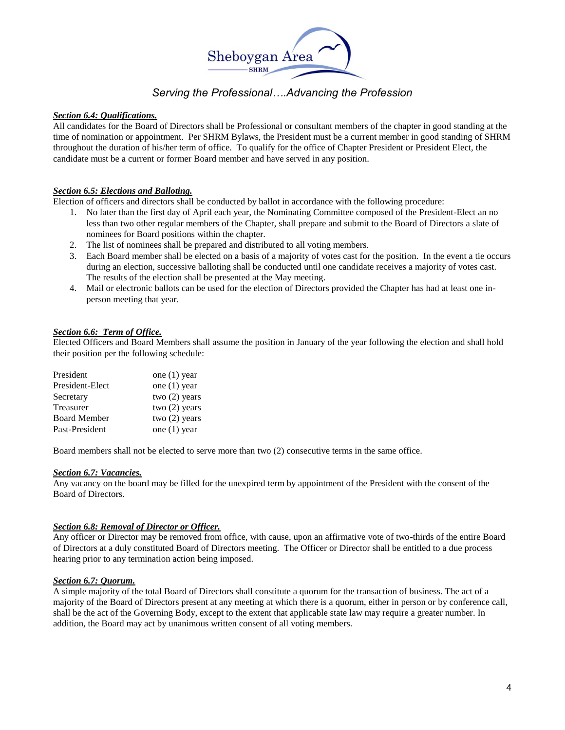

### *Section 6.4: Qualifications.*

All candidates for the Board of Directors shall be Professional or consultant members of the chapter in good standing at the time of nomination or appointment. Per SHRM Bylaws, the President must be a current member in good standing of SHRM throughout the duration of his/her term of office. To qualify for the office of Chapter President or President Elect, the candidate must be a current or former Board member and have served in any position.

#### *Section 6.5: Elections and Balloting.*

Election of officers and directors shall be conducted by ballot in accordance with the following procedure:

- 1. No later than the first day of April each year, the Nominating Committee composed of the President-Elect an no less than two other regular members of the Chapter, shall prepare and submit to the Board of Directors a slate of nominees for Board positions within the chapter.
- 2. The list of nominees shall be prepared and distributed to all voting members.
- 3. Each Board member shall be elected on a basis of a majority of votes cast for the position. In the event a tie occurs during an election, successive balloting shall be conducted until one candidate receives a majority of votes cast. The results of the election shall be presented at the May meeting.
- 4. Mail or electronic ballots can be used for the election of Directors provided the Chapter has had at least one inperson meeting that year.

## *Section 6.6: Term of Office.*

Elected Officers and Board Members shall assume the position in January of the year following the election and shall hold their position per the following schedule:

| President           | one $(1)$ year  |
|---------------------|-----------------|
| President-Elect     | one $(1)$ year  |
| Secretary           | two $(2)$ years |
| Treasurer           | two $(2)$ years |
| <b>Board Member</b> | two $(2)$ years |
| Past-President      | one $(1)$ year  |

Board members shall not be elected to serve more than two (2) consecutive terms in the same office.

#### *Section 6.7: Vacancies.*

Any vacancy on the board may be filled for the unexpired term by appointment of the President with the consent of the Board of Directors.

#### *Section 6.8: Removal of Director or Officer.*

Any officer or Director may be removed from office, with cause, upon an affirmative vote of two-thirds of the entire Board of Directors at a duly constituted Board of Directors meeting. The Officer or Director shall be entitled to a due process hearing prior to any termination action being imposed.

#### *Section 6.7: Quorum.*

A simple majority of the total Board of Directors shall constitute a quorum for the transaction of business. The act of a majority of the Board of Directors present at any meeting at which there is a quorum, either in person or by conference call, shall be the act of the Governing Body, except to the extent that applicable state law may require a greater number. In addition, the Board may act by unanimous written consent of all voting members.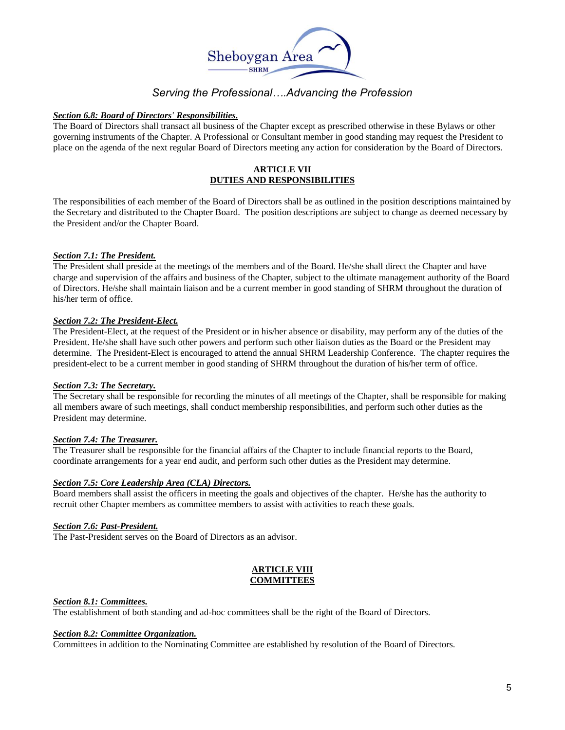

## *Section 6.8: Board of Directors' Responsibilities.*

The Board of Directors shall transact all business of the Chapter except as prescribed otherwise in these Bylaws or other governing instruments of the Chapter. A Professional or Consultant member in good standing may request the President to place on the agenda of the next regular Board of Directors meeting any action for consideration by the Board of Directors.

# **ARTICLE VII DUTIES AND RESPONSIBILITIES**

The responsibilities of each member of the Board of Directors shall be as outlined in the position descriptions maintained by the Secretary and distributed to the Chapter Board. The position descriptions are subject to change as deemed necessary by the President and/or the Chapter Board.

# *Section 7.1: The President.*

The President shall preside at the meetings of the members and of the Board. He/she shall direct the Chapter and have charge and supervision of the affairs and business of the Chapter, subject to the ultimate management authority of the Board of Directors. He/she shall maintain liaison and be a current member in good standing of SHRM throughout the duration of his/her term of office.

### *Section 7.2: The President-Elect.*

The President-Elect, at the request of the President or in his/her absence or disability, may perform any of the duties of the President. He/she shall have such other powers and perform such other liaison duties as the Board or the President may determine. The President-Elect is encouraged to attend the annual SHRM Leadership Conference. The chapter requires the president-elect to be a current member in good standing of SHRM throughout the duration of his/her term of office.

### *Section 7.3: The Secretary.*

The Secretary shall be responsible for recording the minutes of all meetings of the Chapter, shall be responsible for making all members aware of such meetings, shall conduct membership responsibilities, and perform such other duties as the President may determine.

### *Section 7.4: The Treasurer.*

The Treasurer shall be responsible for the financial affairs of the Chapter to include financial reports to the Board, coordinate arrangements for a year end audit, and perform such other duties as the President may determine.

### *Section 7.5: Core Leadership Area (CLA) Directors.*

Board members shall assist the officers in meeting the goals and objectives of the chapter. He/she has the authority to recruit other Chapter members as committee members to assist with activities to reach these goals.

### *Section 7.6: Past-President.*

The Past-President serves on the Board of Directors as an advisor.

### **ARTICLE VIII COMMITTEES**

#### *Section 8.1: Committees.*

The establishment of both standing and ad-hoc committees shall be the right of the Board of Directors.

# *Section 8.2: Committee Organization.*

Committees in addition to the Nominating Committee are established by resolution of the Board of Directors.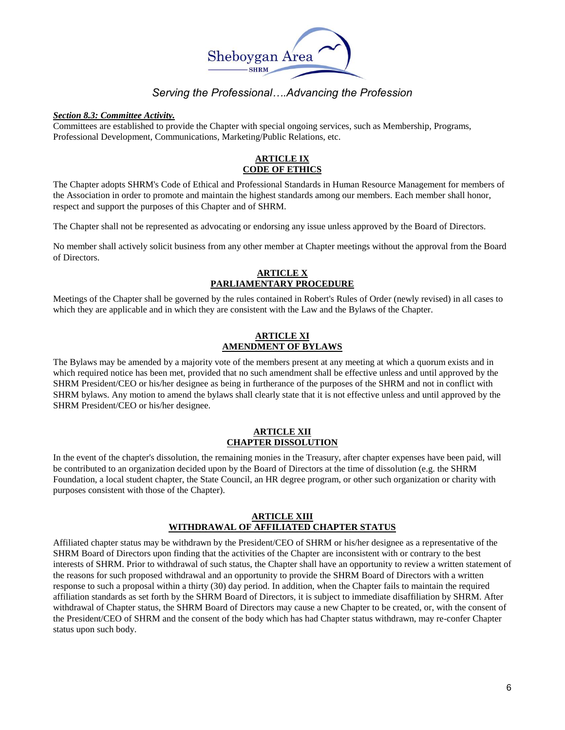

### *Section 8.3: Committee Activity.*

Committees are established to provide the Chapter with special ongoing services, such as Membership, Programs, Professional Development, Communications, Marketing/Public Relations, etc.

# **ARTICLE IX CODE OF ETHICS**

The Chapter adopts SHRM's Code of Ethical and Professional Standards in Human Resource Management for members of the Association in order to promote and maintain the highest standards among our members. Each member shall honor, respect and support the purposes of this Chapter and of SHRM.

The Chapter shall not be represented as advocating or endorsing any issue unless approved by the Board of Directors.

No member shall actively solicit business from any other member at Chapter meetings without the approval from the Board of Directors.

# **ARTICLE X PARLIAMENTARY PROCEDURE**

Meetings of the Chapter shall be governed by the rules contained in Robert's Rules of Order (newly revised) in all cases to which they are applicable and in which they are consistent with the Law and the Bylaws of the Chapter.

# **ARTICLE XI AMENDMENT OF BYLAWS**

The Bylaws may be amended by a majority vote of the members present at any meeting at which a quorum exists and in which required notice has been met, provided that no such amendment shall be effective unless and until approved by the SHRM President/CEO or his/her designee as being in furtherance of the purposes of the SHRM and not in conflict with SHRM bylaws. Any motion to amend the bylaws shall clearly state that it is not effective unless and until approved by the SHRM President/CEO or his/her designee.

### **ARTICLE XII CHAPTER DISSOLUTION**

In the event of the chapter's dissolution, the remaining monies in the Treasury, after chapter expenses have been paid, will be contributed to an organization decided upon by the Board of Directors at the time of dissolution (e.g. the SHRM Foundation, a local student chapter, the State Council, an HR degree program, or other such organization or charity with purposes consistent with those of the Chapter).

### **ARTICLE XIII WITHDRAWAL OF AFFILIATED CHAPTER STATUS**

Affiliated chapter status may be withdrawn by the President/CEO of SHRM or his/her designee as a representative of the SHRM Board of Directors upon finding that the activities of the Chapter are inconsistent with or contrary to the best interests of SHRM. Prior to withdrawal of such status, the Chapter shall have an opportunity to review a written statement of the reasons for such proposed withdrawal and an opportunity to provide the SHRM Board of Directors with a written response to such a proposal within a thirty (30) day period. In addition, when the Chapter fails to maintain the required affiliation standards as set forth by the SHRM Board of Directors, it is subject to immediate disaffiliation by SHRM. After withdrawal of Chapter status, the SHRM Board of Directors may cause a new Chapter to be created, or, with the consent of the President/CEO of SHRM and the consent of the body which has had Chapter status withdrawn, may re-confer Chapter status upon such body.